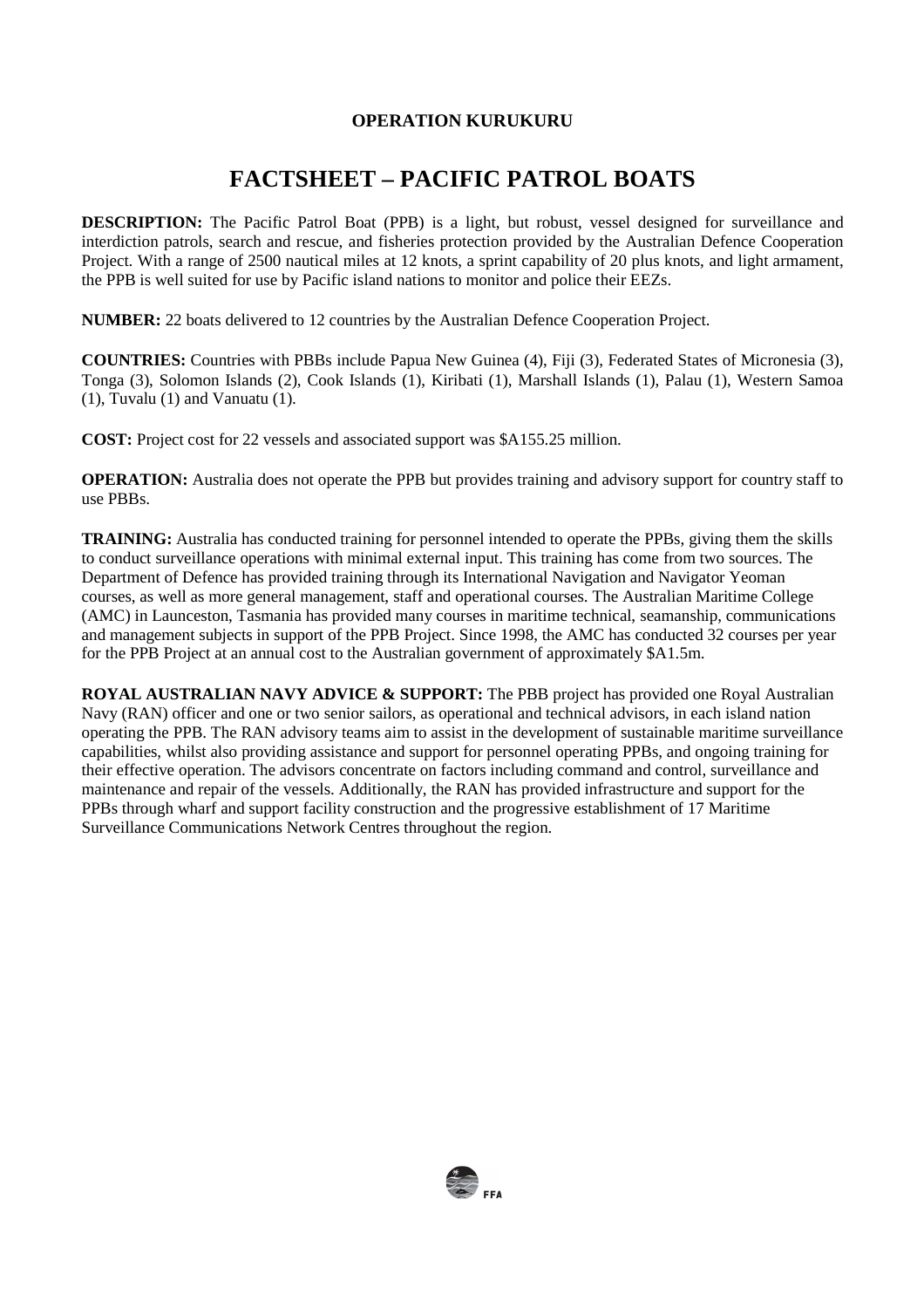## **FACTSHEET – PACIFIC PATROL BOATS**

**DESCRIPTION:** The Pacific Patrol Boat (PPB) is a light, but robust, vessel designed for surveillance and interdiction patrols, search and rescue, and fisheries protection provided by the Australian Defence Cooperation Project. With a range of 2500 nautical miles at 12 knots, a sprint capability of 20 plus knots, and light armament, the PPB is well suited for use by Pacific island nations to monitor and police their EEZs.

**NUMBER:** 22 boats delivered to 12 countries by the Australian Defence Cooperation Project.

**COUNTRIES:** Countries with PBBs include Papua New Guinea (4), Fiji (3), Federated States of Micronesia (3), Tonga (3), Solomon Islands (2), Cook Islands (1), Kiribati (1), Marshall Islands (1), Palau (1), Western Samoa (1), Tuvalu (1) and Vanuatu (1).

**COST:** Project cost for 22 vessels and associated support was \$A155.25 million.

**OPERATION:** Australia does not operate the PPB but provides training and advisory support for country staff to use PBBs.

**TRAINING:** Australia has conducted training for personnel intended to operate the PPBs, giving them the skills to conduct surveillance operations with minimal external input. This training has come from two sources. The Department of Defence has provided training through its International Navigation and Navigator Yeoman courses, as well as more general management, staff and operational courses. The Australian Maritime College (AMC) in Launceston, Tasmania has provided many courses in maritime technical, seamanship, communications and management subjects in support of the PPB Project. Since 1998, the AMC has conducted 32 courses per year for the PPB Project at an annual cost to the Australian government of approximately \$A1.5m.

**ROYAL AUSTRALIAN NAVY ADVICE & SUPPORT:** The PBB project has provided one Royal Australian Navy (RAN) officer and one or two senior sailors, as operational and technical advisors, in each island nation operating the PPB. The RAN advisory teams aim to assist in the development of sustainable maritime surveillance capabilities, whilst also providing assistance and support for personnel operating PPBs, and ongoing training for their effective operation. The advisors concentrate on factors including command and control, surveillance and maintenance and repair of the vessels. Additionally, the RAN has provided infrastructure and support for the PPBs through wharf and support facility construction and the progressive establishment of 17 Maritime Surveillance Communications Network Centres throughout the region.

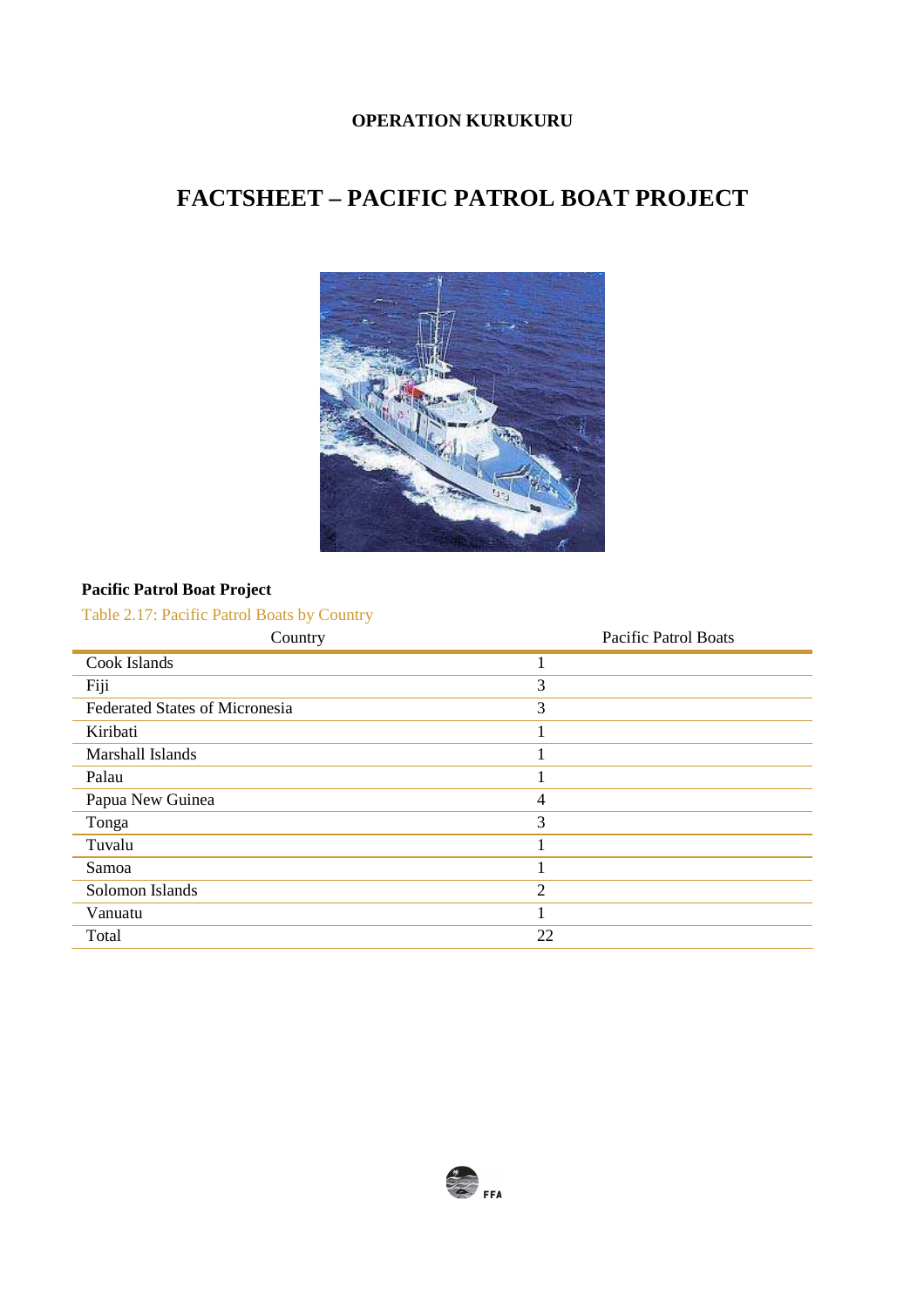# **FACTSHEET – PACIFIC PATROL BOAT PROJECT**



### **Pacific Patrol Boat Project**

Table 2.17: Pacific Patrol Boats by Country

| Country                               | Pacific Patrol Boats |
|---------------------------------------|----------------------|
| Cook Islands                          |                      |
| Fiji                                  | 3                    |
| <b>Federated States of Micronesia</b> | 3                    |
| Kiribati                              |                      |
| Marshall Islands                      |                      |
| Palau                                 |                      |
| Papua New Guinea                      | $\overline{4}$       |
| Tonga                                 | 3                    |
| Tuvalu                                |                      |
| Samoa                                 |                      |
| Solomon Islands                       | $\overline{2}$       |
| Vanuatu                               |                      |
| Total                                 | 22                   |

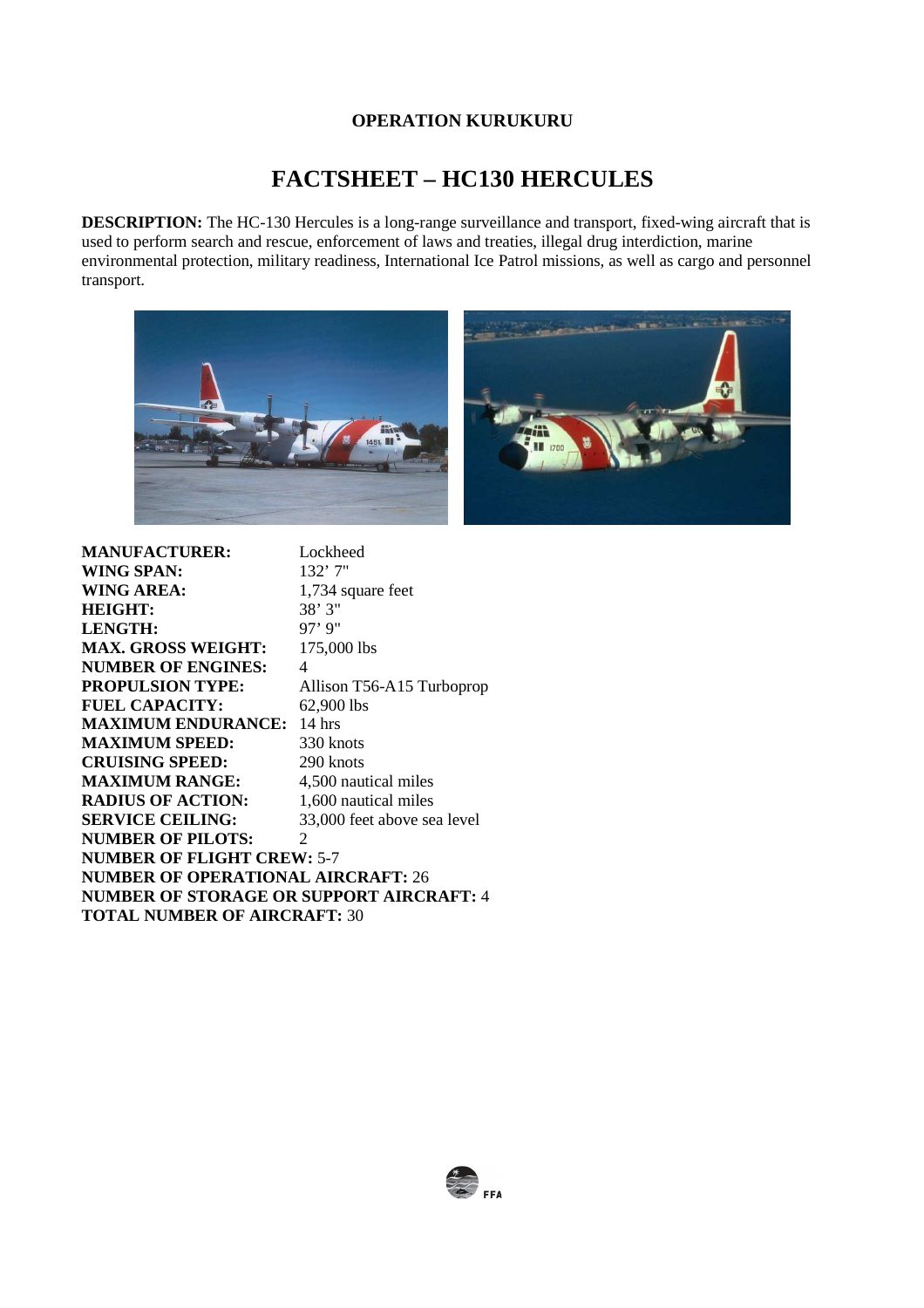## **FACTSHEET – HC130 HERCULES**

**DESCRIPTION:** The HC-130 Hercules is a long-range surveillance and transport, fixed-wing aircraft that is used to perform search and rescue, enforcement of laws and treaties, illegal drug interdiction, marine environmental protection, military readiness, International Ice Patrol missions, as well as cargo and personnel transport.



| <b>MANUFACTURER:</b>                      | Lockheed                    |  |
|-------------------------------------------|-----------------------------|--|
| <b>WING SPAN:</b>                         | 132'7''                     |  |
| WING AREA:                                | 1,734 square feet           |  |
| <b>HEIGHT:</b>                            | 38'3''                      |  |
| <b>LENGTH:</b>                            | $97'$ 9"                    |  |
| <b>MAX. GROSS WEIGHT:</b>                 | 175,000 lbs                 |  |
| <b>NUMBER OF ENGINES:</b>                 | 4                           |  |
| <b>PROPULSION TYPE:</b>                   | Allison T56-A15 Turboprop   |  |
| <b>FUEL CAPACITY:</b>                     | 62,900 lbs                  |  |
| <b>MAXIMUM ENDURANCE:</b>                 | $14$ hrs                    |  |
| <b>MAXIMUM SPEED:</b>                     | 330 knots                   |  |
| <b>CRUISING SPEED:</b>                    | 290 knots                   |  |
| <b>MAXIMUM RANGE:</b>                     | 4,500 nautical miles        |  |
| <b>RADIUS OF ACTION:</b>                  | 1,600 nautical miles        |  |
| <b>SERVICE CEILING:</b>                   | 33,000 feet above sea level |  |
| <b>NUMBER OF PILOTS:</b>                  | 2                           |  |
| <b>NUMBER OF FLIGHT CREW: 5-7</b>         |                             |  |
| <b>NUMBER OF OPERATIONAL AIRCRAFT: 26</b> |                             |  |
| NUMBER OF STORAGE OR SUPPORT AIRCRAFT: 4  |                             |  |
| <b>TOTAL NUMBER OF AIRCRAFT: 30</b>       |                             |  |
|                                           |                             |  |

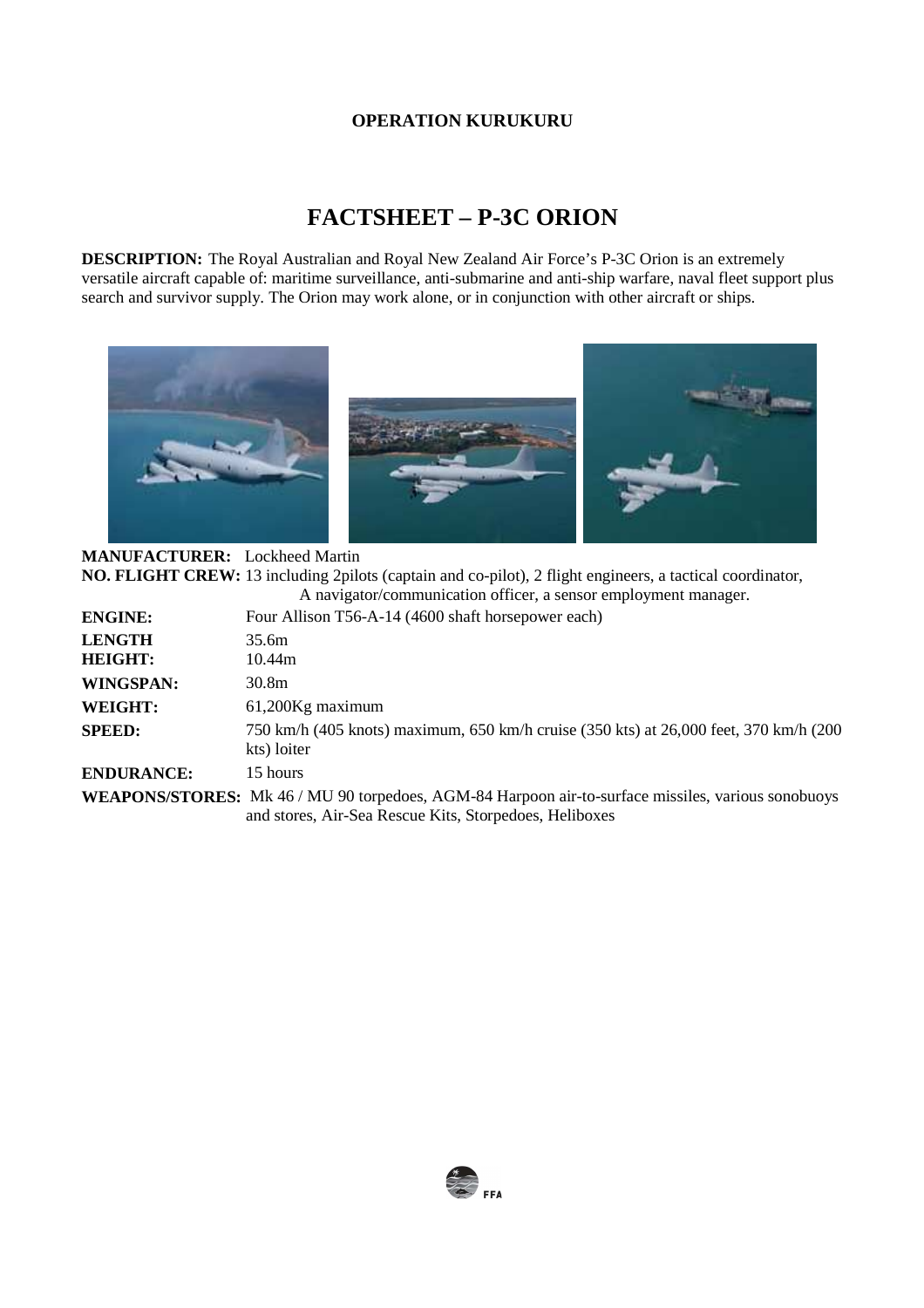# **FACTSHEET – P-3C ORION**

**DESCRIPTION:** The Royal Australian and Royal New Zealand Air Force's P-3C Orion is an extremely versatile aircraft capable of: maritime surveillance, anti-submarine and anti-ship warfare, naval fleet support plus search and survivor supply. The Orion may work alone, or in conjunction with other aircraft or ships.



**MANUFACTURER:** Lockheed Martin **NO. FLIGHT CREW:** 13 including 2pilots (captain and co-pilot), 2 flight engineers, a tactical coordinator,  $\ddot{\cdot}$  navigator of  $\ddot{\cdot}$  sensor employment manager.  $\ddot{\cdot}$  sensor employment manager.

|                                 | A havigator/communication officer, a sensor employment manager.                                      |
|---------------------------------|------------------------------------------------------------------------------------------------------|
| <b>ENGINE:</b>                  | Four Allison T56-A-14 (4600 shaft horsepower each)                                                   |
| <b>LENGTH</b><br><b>HEIGHT:</b> | 35.6m<br>10.44m                                                                                      |
| <b>WINGSPAN:</b>                | 30.8m                                                                                                |
| <b>WEIGHT:</b>                  | 61,200Kg maximum                                                                                     |
| <b>SPEED:</b>                   | 750 km/h (405 knots) maximum, 650 km/h cruise (350 kts) at 26,000 feet, 370 km/h (200<br>kts) loiter |
| <b>ENDURANCE:</b>               | 15 hours                                                                                             |
|                                 |                                                                                                      |

**WEAPONS/STORES:** Mk 46 / MU 90 torpedoes, AGM-84 Harpoon air-to-surface missiles, various sonobuoys and stores, Air-Sea Rescue Kits, Storpedoes, Heliboxes

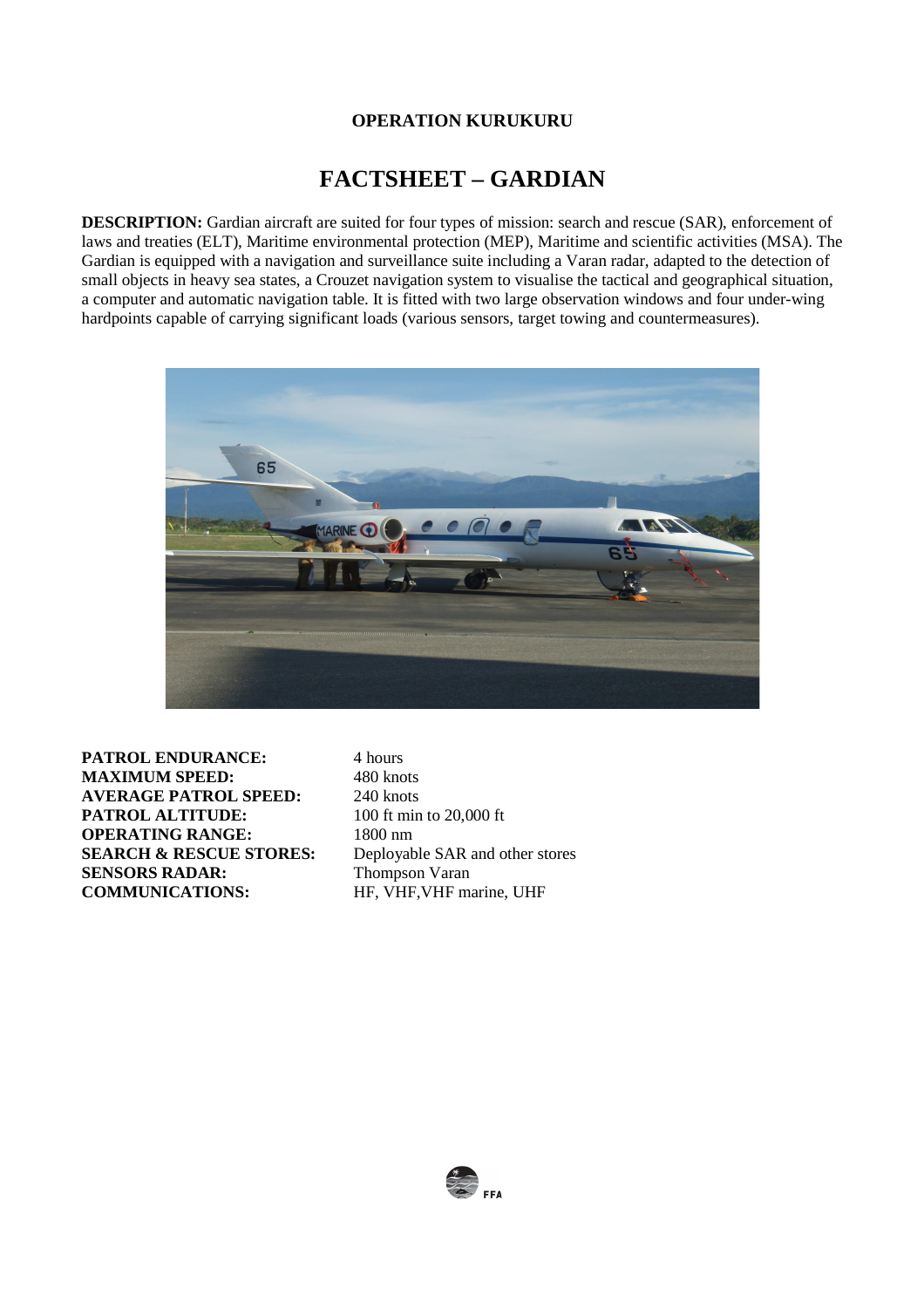## **FACTSHEET – GARDIAN**

**DESCRIPTION:** Gardian aircraft are suited for four types of mission: search and rescue (SAR), enforcement of laws and treaties (ELT), Maritime environmental protection (MEP), Maritime and scientific activities (MSA). The Gardian is equipped with a navigation and surveillance suite including a Varan radar, adapted to the detection of small objects in heavy sea states, a Crouzet navigation system to visualise the tactical and geographical situation, a computer and automatic navigation table. It is fitted with two large observation windows and four under-wing hardpoints capable of carrying significant loads (various sensors, target towing and countermeasures).



**PATROL ENDURANCE:** 4 hours **MAXIMUM SPEED:** 480 knots<br>AVERAGE PATROL SPEED: 240 knots **AVERAGE PATROL SPEED: PATROL ALTITUDE:** 100 ft min to 20,000 ft **OPERATING RANGE:** 1800 nm **SEARCH & RESCUE STORES:** Deployable SAR and other stores **SENSORS RADAR:** Thompson Varan<br> **COMMUNICATIONS:** HF. VHF. VHF m

**HF, VHF, VHF** marine, UHF

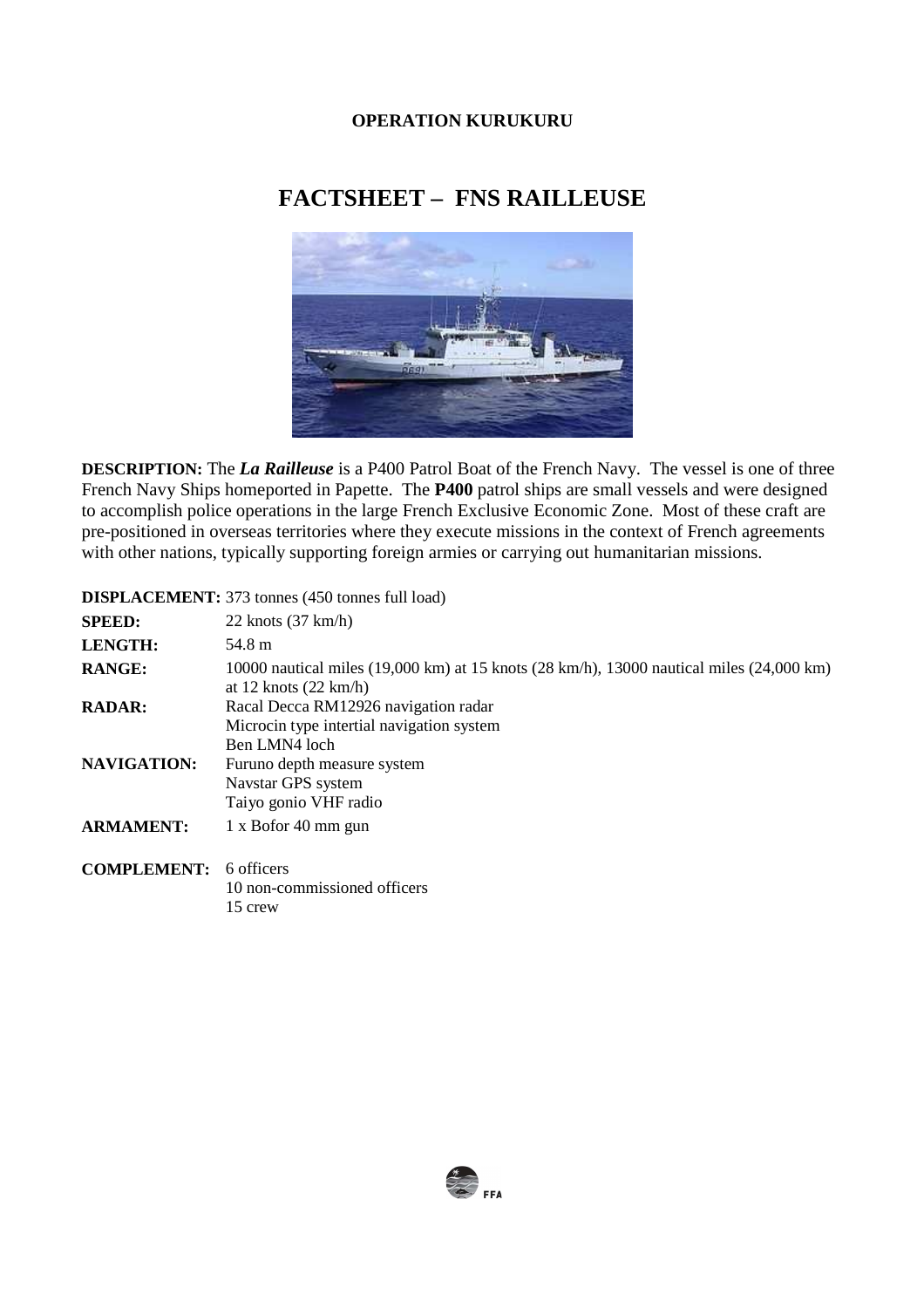# **FACTSHEET – FNS RAILLEUSE**



**DESCRIPTION:** The *La Railleuse* is a P400 Patrol Boat of the French Navy. The vessel is one of three French Navy Ships homeported in Papette. The **P400** patrol ships are small vessels and were designed to accomplish police operations in the large French Exclusive Economic Zone. Most of these craft are pre-positioned in overseas territories where they execute missions in the context of French agreements with other nations, typically supporting foreign armies or carrying out humanitarian missions.

#### **SPEED:** 22 knots (37 km/h) **LENGTH:** 54.8 m **RANGE: RADAR: NAVIGATION:**  10000 nautical miles (19,000 km) at 15 knots (28 km/h), 13000 nautical miles (24,000 km) at 12 knots (22 km/h) Racal Decca RM12926 navigation radar Microcin type intertial navigation system Ben LMN4 loch Furuno depth measure system Navstar GPS system Taiyo gonio VHF radio **ARMAMENT:** 1 x Bofor 40 mm gun **COMPLEMENT:** 6 officers 10 non-commissioned officers 15 crew

#### **DISPLACEMENT:** 373 tonnes (450 tonnes full load)